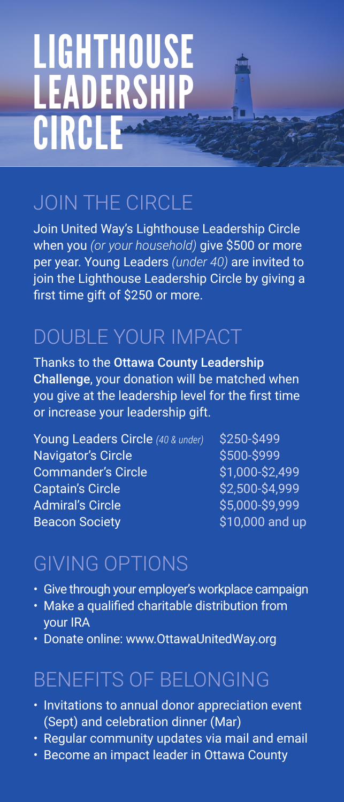# LIGHTHOUSE **LEADERSHIP** CIRCLE

### JOIN THE CIRCLE

Join United Way's Lighthouse Leadership Circle when you *(or your household)* give \$500 or more per year. Young Leaders *(under 40)* are invited to join the Lighthouse Leadership Circle by giving a first time gift of \$250 or more.

#### DOUBLE YOUR IMPACT

Thanks to the Ottawa County Leadership Challenge, your donation will be matched when you give at the leadership level for the first time or increase your leadership gift.

Young Leaders Circle (40 & under) \$250-\$499 Navigator's Circle \$500-\$999 Commander's Circle \$1,000-\$2,499  $Captain's Circle$  \$2,500-\$4,999 Admiral's Circle \$5,000-\$9,999 Beacon Society **\$10,000 and up** 

#### GIVING OPTIONS

- Give through your employer's workplace campaign
- Make a qualified charitable distribution from your IRA
- Donate online: www.OttawaUnitedWay.org

#### BENEFITS OF BELONGING

- Invitations to annual donor appreciation event (Sept) and celebration dinner (Mar)
- Regular community updates via mail and email
- Become an impact leader in Ottawa County